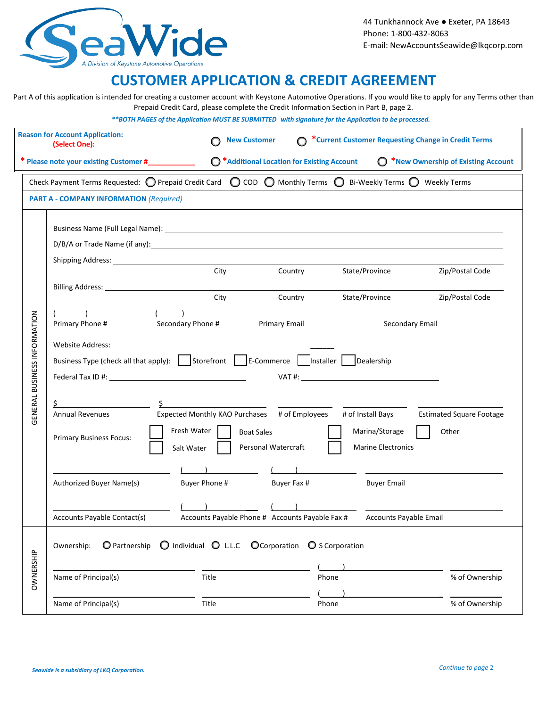

## **CUSTOMER APPLICATION & CREDIT AGREEMENT**

Part A of this application is intended for creating a customer account with Keystone Automotive Operations. If you would like to apply for any Terms other than Prepaid Credit Card, please complete the Credit Information Section in Part B, page 2.

*\*\*BOTH PAGES of the Application MUST BE SUBMITTED with signature for the Application to be processed.*

|                              | <b>Reason for Account Application:</b><br>(Select One):  |                                                                                                                                                                                                                                                                                                                                                                                                                                                                                                                                                                                                                                                                                                                                                                                                                                                    | <b>New Customer</b>                                            | *Current Customer Requesting Change in Credit Terms           |                                                |
|------------------------------|----------------------------------------------------------|----------------------------------------------------------------------------------------------------------------------------------------------------------------------------------------------------------------------------------------------------------------------------------------------------------------------------------------------------------------------------------------------------------------------------------------------------------------------------------------------------------------------------------------------------------------------------------------------------------------------------------------------------------------------------------------------------------------------------------------------------------------------------------------------------------------------------------------------------|----------------------------------------------------------------|---------------------------------------------------------------|------------------------------------------------|
|                              | * Please note your existing Customer #____________       |                                                                                                                                                                                                                                                                                                                                                                                                                                                                                                                                                                                                                                                                                                                                                                                                                                                    | ◯ *Additional Location for Existing Account                    |                                                               | <sup>*</sup> New Ownership of Existing Account |
|                              |                                                          | Check Payment Terms Requested: O Prepaid Credit Card O COD O Monthly Terms O Bi-Weekly Terms O Weekly Terms                                                                                                                                                                                                                                                                                                                                                                                                                                                                                                                                                                                                                                                                                                                                        |                                                                |                                                               |                                                |
|                              | <b>PART A - COMPANY INFORMATION (Required)</b>           |                                                                                                                                                                                                                                                                                                                                                                                                                                                                                                                                                                                                                                                                                                                                                                                                                                                    |                                                                |                                                               |                                                |
| GENERAL BUSINESS INFORMATION | Primary Phone #                                          | D/B/A or Trade Name (if any): the same of the same of the same of the same of the same of the same of the same of the same of the same of the same of the same of the same of the same of the same of the same of the same of<br>Shipping Address: National Address and Address and Address and Address and Address and Address and Address and Address and Address and Address and Address and Address and Address and Address and Address and Address and Add<br>City<br>City<br>Secondary Phone #<br>Website Address: which is a series of the series of the series of the series of the series of the series of the series of the series of the series of the series of the series of the series of the series of the series of th<br>Federal Tax ID #: New York 2014 19: New York 2014<br><u> 1989 - Andrea Station Barbara, amerikan per</u> | Country<br>Country<br>Primary Email                            | State/Province<br>State/Province<br>Secondary Email<br>VAT #: | Zip/Postal Code<br>Zip/Postal Code             |
|                              | <b>Annual Revenues</b><br><b>Primary Business Focus:</b> | Expected Monthly KAO Purchases # of Employees<br>Fresh Water<br>Salt Water                                                                                                                                                                                                                                                                                                                                                                                                                                                                                                                                                                                                                                                                                                                                                                         | <b>Boat Sales</b><br>Personal Watercraft                       | # of Install Bays<br>Marina/Storage<br>Marine Electronics     | <b>Estimated Square Footage</b><br>Other       |
|                              | Authorized Buyer Name(s)<br>Accounts Payable Contact(s)  | Buyer Phone #                                                                                                                                                                                                                                                                                                                                                                                                                                                                                                                                                                                                                                                                                                                                                                                                                                      | Buyer Fax #<br>Accounts Payable Phone # Accounts Payable Fax # | <b>Buyer Email</b><br>Accounts Payable Email                  |                                                |
| OWNERSHIP                    | O Partnership<br>Ownership:                              | O Individual O L.L.C O Corporation O S Corporation                                                                                                                                                                                                                                                                                                                                                                                                                                                                                                                                                                                                                                                                                                                                                                                                 |                                                                |                                                               |                                                |
|                              | Name of Principal(s)<br>Name of Principal(s)             | Title<br>Title                                                                                                                                                                                                                                                                                                                                                                                                                                                                                                                                                                                                                                                                                                                                                                                                                                     |                                                                | Phone<br>Phone                                                | % of Ownership<br>% of Ownership               |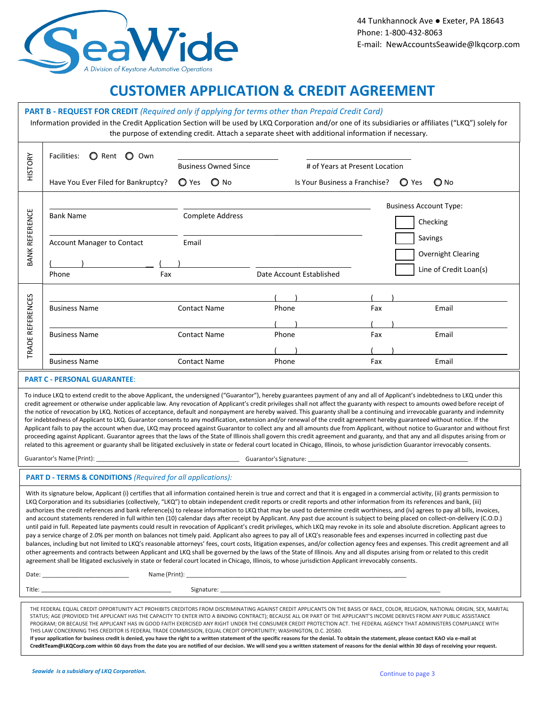

### **CUSTOMER APPLICATION & CREDIT AGREEMENT**

#### **PART B - REQUEST FOR CREDIT** *(Required only if applying for terms other than Prepaid Credit Card)*

Information provided in the Credit Application Section will be used by LKQ Corporation and/or one of its subsidiaries or affiliates ("LKQ") solely for the purpose of extending credit. Attach a separate sheet with additional information if necessary.

| <b>HISTORY</b>                      | O Rent O Own<br>Facilities:<br>Have You Ever Filed for Bankruptcy?   | <b>Business Owned Since</b><br>O Yes O No                         | # of Years at Present Location<br>Is Your Business a Franchise? |                   | $\bigcirc$ Yes<br>$\bigcirc$ No                                                                      |
|-------------------------------------|----------------------------------------------------------------------|-------------------------------------------------------------------|-----------------------------------------------------------------|-------------------|------------------------------------------------------------------------------------------------------|
| <b>BANK REFERENCE</b>               | <b>Bank Name</b><br>Account Manager to Contact<br>Phone<br>Fax       | <b>Complete Address</b><br>Email                                  | Date Account Established                                        |                   | <b>Business Account Type:</b><br>Checking<br>Savings<br>Overnight Clearing<br>Line of Credit Loan(s) |
| <b>REFERENCES</b><br>TRADE I        | <b>Business Name</b><br><b>Business Name</b><br><b>Business Name</b> | <b>Contact Name</b><br><b>Contact Name</b><br><b>Contact Name</b> | Phone<br>Phone<br>Phone                                         | Fax<br>Fax<br>Fax | Email<br>Email<br>Email                                                                              |
| <b>PART C - PERSONAL GUARANTEE:</b> |                                                                      |                                                                   |                                                                 |                   |                                                                                                      |

To induce LKQ to extend credit to the above Applicant, the undersigned ("Guarantor"), hereby guarantees payment of any and all of Applicant's indebtedness to LKQ under this credit agreement or otherwise under applicable law. Any revocation of Applicant's credit privileges shall not affect the guaranty with respect to amounts owed before receipt of the notice of revocation by LKQ. Notices of acceptance, default and nonpayment are hereby waived. This guaranty shall be a continuing and irrevocable guaranty and indemnity for indebtedness of Applicant to LKQ. Guarantor consents to any modification, extension and/or renewal of the credit agreement hereby guaranteed without notice. If the Applicant fails to pay the account when due, LKQ may proceed against Guarantor to collect any and all amounts due from Applicant, without notice to Guarantor and without first proceeding against Applicant. Guarantor agrees that the laws of the State of Illinois shall govern this credit agreement and guaranty, and that any and all disputes arising from or related to this agreement or guaranty shall be litigated exclusively in state or federal court located in Chicago, Illinois, to whose jurisdiction Guarantor irrevocably consents.

Guarantor's Name (Print): \_\_\_\_\_\_\_\_\_\_\_\_\_\_\_\_\_\_\_\_\_\_\_\_\_\_\_\_\_\_\_\_\_\_\_\_\_\_\_\_\_\_\_ Guarantor's Signature: \_\_\_\_\_\_\_\_\_\_\_\_\_\_\_\_\_\_\_\_\_\_\_\_\_\_\_\_\_\_\_\_\_\_\_\_\_\_\_\_\_\_\_\_\_\_\_\_

#### **PART D - TERMS & CONDITIONS** *(Required for all applications):*

With its signature below, Applicant (i) certifies that all information contained herein is true and correct and that it is engaged in a commercial activity, (ii) grants permission to LKQ Corporation and its subsidiaries (collectively, "LKQ") to obtain independent credit reports or credit reports and other information from its references and bank, (iii) authorizes the credit references and bank reference(s) to release information to LKQ that may be used to determine credit worthiness, and (iv) agrees to pay all bills, invoices, and account statements rendered in full within ten (10) calendar days after receipt by Applicant. Any past due account is subject to being placed on collect-on-delivery (C.O.D.) until paid in full. Repeated late payments could result in revocation of Applicant's credit privileges, which LKQ may revoke in its sole and absolute discretion. Applicant agrees to pay a service charge of 2.0% per month on balances not timely paid. Applicant also agrees to pay all of LKQ's reasonable fees and expenses incurred in collecting past due balances, including but not limited to LKQ's reasonable attorneys' fees, court costs, litigation expenses, and/or collection agency fees and expenses. This credit agreement and all other agreements and contracts between Applicant and LKQ shall be governed by the laws of the State of Illinois. Any and all disputes arising from or related to this credit agreement shall be litigated exclusively in state or federal court located in Chicago, Illinois, to whose jurisdiction Applicant irrevocably consents.

Date: \_\_\_\_\_\_\_\_\_\_\_\_\_\_\_\_\_\_\_\_\_\_\_\_\_\_ Name (Print): \_\_\_\_\_\_\_\_\_\_\_\_\_\_\_\_\_\_\_\_\_\_\_\_\_\_\_\_\_\_\_\_\_\_\_\_\_\_\_\_\_\_\_\_\_\_\_\_\_\_\_\_\_\_\_\_\_\_\_\_\_\_\_\_\_\_

Title: \_\_\_\_\_\_\_\_\_\_\_\_\_\_\_\_\_\_\_\_\_\_\_\_\_\_\_\_\_\_\_\_\_\_\_\_\_\_\_ Signature: \_\_\_\_\_\_\_\_\_\_\_\_\_\_\_\_\_\_\_\_\_\_\_\_\_\_\_\_\_\_\_\_\_\_\_\_\_\_\_\_\_\_\_\_\_\_\_\_\_\_\_\_\_\_\_\_\_\_\_\_\_\_\_\_\_\_

THE FEDERAL EQUAL CREDIT OPPORTUNITY ACT PROHIBITS CREDITORS FROM DISCRIMINATING AGAINST CREDIT APPLICANTS ON THE BASIS OF RACE, COLOR, RELIGION, NATIONAL ORIGIN, SEX, MARITAL STATUS; AGE (PROVIDED THE APPLICANT HAS THE CAPACITY TO ENTER INTO A BINDING CONTRACT); BECAUSE ALL OR PART OF THE APPLICANT'S INCOME DERIVES FROM ANY PUBLIC ASSISTANCE PROGRAM; OR BECAUSE THE APPLICANT HAS IN GOOD FAITH EXERCISED ANY RIGHT UNDER THE CONSUMER CREDIT PROTECTION ACT. THE FEDERAL AGENCY THAT ADMINISTERS COMPLIANCE WITH THIS LAW CONCERNING THIS CREDITOR IS FEDERAL TRADE COMMISSION, EQUAL CREDIT OPPORTUNITY; WASHINGTON, D.C. 20580.

If your application for business credit is denied, you have the right to a written statement of the specific reasons for the denial. To obtain the statement, please contact KAO via e-mail at **[CreditTeam@LKQCorp.com](mailto:CreditTeam@LKQCorp.com) within 60 days from the date you are notified of our decision. We will send you a written statement of reasons for the denial within 30 days of receiving your request.**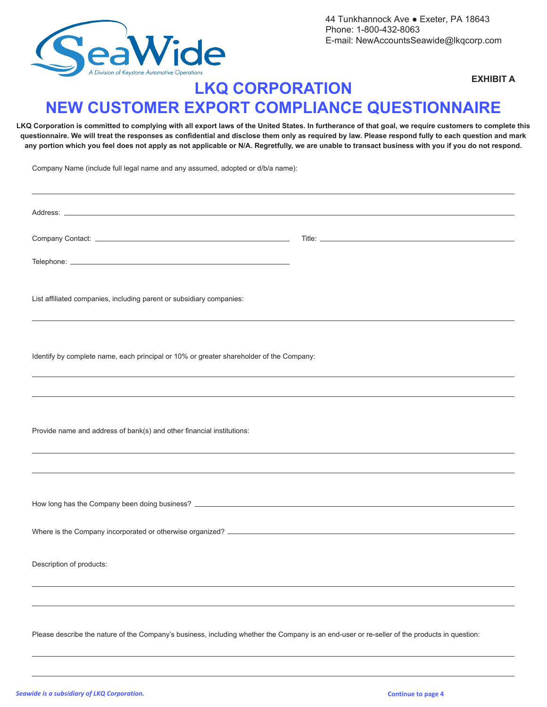

### **EXHIBIT A**

# **LKQ CORPORATION NEW CUSTOMER EXPORT COMPLIANCE QUESTIONNAIRE**

**LKQ Corporation is committed to complying with all export laws of the United States. In furtherance of that goal, we require customers to complete this questionnaire. We will treat the responses as confidential and disclose them only as required by law. Please respond fully to each question and mark any portion which you feel does not apply as not applicable or N/A. Regretfully, we are unable to transact business with you if you do not respond.** 

Company Name (include full legal name and any assumed, adopted or d/b/a name):

| List affiliated companies, including parent or subsidiary companies:                                                                         |  |
|----------------------------------------------------------------------------------------------------------------------------------------------|--|
|                                                                                                                                              |  |
| Identify by complete name, each principal or 10% or greater shareholder of the Company:                                                      |  |
|                                                                                                                                              |  |
|                                                                                                                                              |  |
| Provide name and address of bank(s) and other financial institutions:                                                                        |  |
|                                                                                                                                              |  |
|                                                                                                                                              |  |
|                                                                                                                                              |  |
|                                                                                                                                              |  |
|                                                                                                                                              |  |
| Description of products:                                                                                                                     |  |
|                                                                                                                                              |  |
|                                                                                                                                              |  |
| Please describe the nature of the Company's business, including whether the Company is an end-user or re-seller of the products in question: |  |